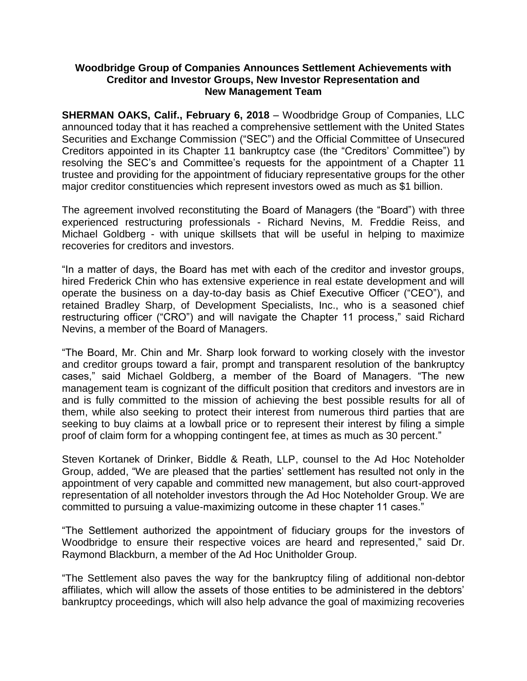## **Woodbridge Group of Companies Announces Settlement Achievements with Creditor and Investor Groups, New Investor Representation and New Management Team**

**SHERMAN OAKS, Calif., February 6, 2018** – Woodbridge Group of Companies, LLC announced today that it has reached a comprehensive settlement with the United States Securities and Exchange Commission ("SEC") and the Official Committee of Unsecured Creditors appointed in its Chapter 11 bankruptcy case (the "Creditors' Committee") by resolving the SEC's and Committee's requests for the appointment of a Chapter 11 trustee and providing for the appointment of fiduciary representative groups for the other major creditor constituencies which represent investors owed as much as \$1 billion.

The agreement involved reconstituting the Board of Managers (the "Board") with three experienced restructuring professionals - Richard Nevins, M. Freddie Reiss, and Michael Goldberg - with unique skillsets that will be useful in helping to maximize recoveries for creditors and investors.

"In a matter of days, the Board has met with each of the creditor and investor groups, hired Frederick Chin who has extensive experience in real estate development and will operate the business on a day-to-day basis as Chief Executive Officer ("CEO"), and retained Bradley Sharp, of Development Specialists, Inc., who is a seasoned chief restructuring officer ("CRO") and will navigate the Chapter 11 process," said Richard Nevins, a member of the Board of Managers.

"The Board, Mr. Chin and Mr. Sharp look forward to working closely with the investor and creditor groups toward a fair, prompt and transparent resolution of the bankruptcy cases," said Michael Goldberg, a member of the Board of Managers. "The new management team is cognizant of the difficult position that creditors and investors are in and is fully committed to the mission of achieving the best possible results for all of them, while also seeking to protect their interest from numerous third parties that are seeking to buy claims at a lowball price or to represent their interest by filing a simple proof of claim form for a whopping contingent fee, at times as much as 30 percent."

Steven Kortanek of Drinker, Biddle & Reath, LLP, counsel to the Ad Hoc Noteholder Group, added, "We are pleased that the parties' settlement has resulted not only in the appointment of very capable and committed new management, but also court-approved representation of all noteholder investors through the Ad Hoc Noteholder Group. We are committed to pursuing a value-maximizing outcome in these chapter 11 cases."

"The Settlement authorized the appointment of fiduciary groups for the investors of Woodbridge to ensure their respective voices are heard and represented," said Dr. Raymond Blackburn, a member of the Ad Hoc Unitholder Group.

"The Settlement also paves the way for the bankruptcy filing of additional non-debtor affiliates, which will allow the assets of those entities to be administered in the debtors' bankruptcy proceedings, which will also help advance the goal of maximizing recoveries